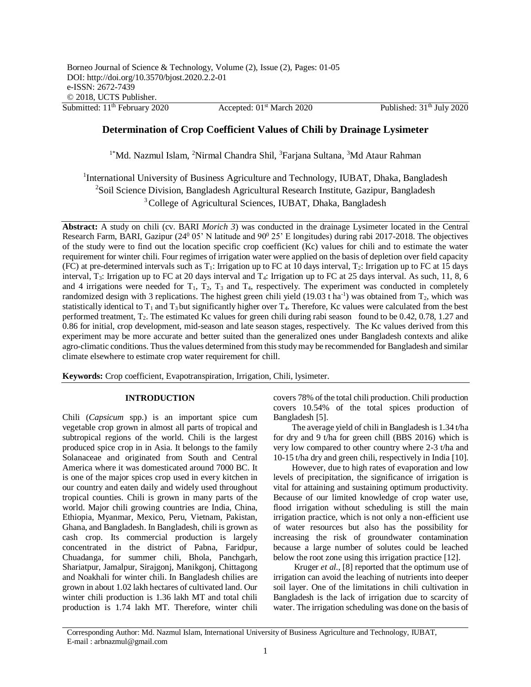# **Determination of Crop Coefficient Values of Chili by Drainage Lysimeter**

<sup>1\*</sup>Md. Nazmul Islam, <sup>2</sup>Nirmal Chandra Shil, <sup>3</sup>Farjana Sultana, <sup>3</sup>Md Ataur Rahman

<sup>1</sup>International University of Business Agriculture and Technology, IUBAT, Dhaka, Bangladesh <sup>2</sup>Soil Science Division, Bangladesh Agricultural Research Institute, Gazipur, Bangladesh <sup>3</sup>College of Agricultural Sciences, IUBAT, Dhaka, Bangladesh

**Abstract:** A study on chili (cv. BARI *Morich 3*) was conducted in the drainage Lysimeter located in the Central Research Farm, BARI, Gazipur ( $24^0$  05' N latitude and  $90^0$  25' E longitudes) during rabi 2017-2018. The objectives of the study were to find out the location specific crop coefficient (Kc) values for chili and to estimate the water requirement for winter chili. Four regimes of irrigation water were applied on the basis of depletion over field capacity (FC) at pre-determined intervals such as  $T_1$ : Irrigation up to FC at 10 days interval,  $T_2$ : Irrigation up to FC at 15 days interval, T<sub>3</sub>: Irrigation up to FC at 20 days interval and T<sub>4</sub>: Irrigation up to FC at 25 days interval. As such, 11, 8, 6 and 4 irrigations were needed for  $T_1$ ,  $T_2$ ,  $T_3$  and  $T_4$ , respectively. The experiment was conducted in completely randomized design with 3 replications. The highest green chili yield  $(19.03 \text{ t} \text{ ha}^{-1})$  was obtained from  $T_2$ , which was statistically identical to  $T_1$  and  $T_3$  but significantly higher over  $T_4$ . Therefore, Kc values were calculated from the best performed treatment, T2. The estimated Kc values for green chili during rabi season found to be 0.42, 0.78, 1.27 and 0.86 for initial, crop development, mid-season and late season stages, respectively. The Kc values derived from this experiment may be more accurate and better suited than the generalized ones under Bangladesh contexts and alike agro-climatic conditions. Thus the values determined from this study may be recommended for Bangladesh and similar climate elsewhere to estimate crop water requirement for chill.

**Keywords:** Crop coefficient, Evapotranspiration, Irrigation, Chili, lysimeter*.*

### **INTRODUCTION**

Chili (*Capsicum* spp.) is an important spice cum vegetable crop grown in almost all parts of tropical and subtropical regions of the world. Chili is the largest produced spice crop in in Asia. It belongs to the family Solanaceae and originated from South and Central America where it was domesticated around 7000 BC. It is one of the major spices crop used in every kitchen in our country and eaten daily and widely used throughout tropical counties. Chili is grown in many parts of the world. Major chili growing countries are India, China, Ethiopia, Myanmar, Mexico, Peru, Vietnam, Pakistan, Ghana, and Bangladesh. In Bangladesh, chili is grown as cash crop. Its commercial production is largely concentrated in the district of Pabna, Faridpur, Chuadanga, for summer chili, Bhola, Panchgarh, Shariatpur, Jamalpur, Sirajgonj, Manikgonj, Chittagong and Noakhali for winter chili. In Bangladesh chilies are grown in about 1.02 lakh hectares of cultivated land. Our winter chili production is 1.36 lakh MT and total chili production is 1.74 lakh MT. Therefore, winter chili

covers 78% of the total chili production. Chili production covers 10.54% of the total spices production of Bangladesh [5].

The average yield of chili in Bangladesh is 1.34 t/ha for dry and 9 t/ha for green chill (BBS 2016) which is very low compared to other country where 2-3 t/ha and 10-15 t/ha dry and green chili, respectively in India [10].

However, due to high rates of evaporation and low levels of precipitation, the significance of irrigation is vital for attaining and sustaining optimum productivity. Because of our limited knowledge of crop water use, flood irrigation without scheduling is still the main irrigation practice, which is not only a non-efficient use of water resources but also has the possibility for increasing the risk of groundwater contamination because a large number of solutes could be leached below the root zone using this irrigation practice [12].

Kruger *et al.,* [8] reported that the optimum use of irrigation can avoid the leaching of nutrients into deeper soil layer. One of the limitations in chili cultivation in Bangladesh is the lack of irrigation due to scarcity of water. The irrigation scheduling was done on the basis of

Corresponding Author: Md. Nazmul Islam, International University of Business Agriculture and Technology, IUBAT, E-mail : arbnazmul@gmail.com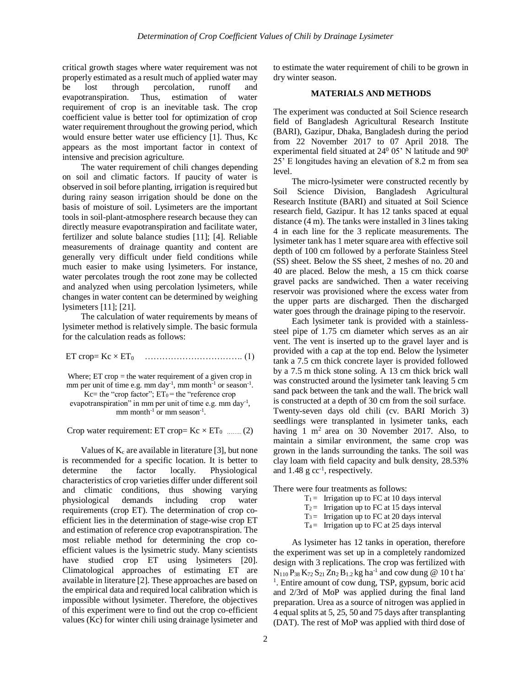critical growth stages where water requirement was not properly estimated as a result much of applied water may be lost through percolation, runoff and evapotranspiration. Thus, estimation of water requirement of crop is an inevitable task. The crop coefficient value is better tool for optimization of crop water requirement throughout the growing period, which would ensure better water use efficiency [1]. Thus, Kc appears as the most important factor in context of intensive and precision agriculture.

The water requirement of chili changes depending on soil and climatic factors. If paucity of water is observed in soil before planting, irrigation is required but during rainy season irrigation should be done on the basis of moisture of soil. Lysimeters are the important tools in soil-plant-atmosphere research because they can directly measure evapotranspiration and facilitate water, fertilizer and solute balance studies [11]; [4]. Reliable measurements of drainage quantity and content are generally very difficult under field conditions while much easier to make using lysimeters. For instance, water percolates trough the root zone may be collected and analyzed when using percolation lysimeters, while changes in water content can be determined by weighing lysimeters [11]; [21].

The calculation of water requirements by means of lysimeter method is relatively simple. The basic formula for the calculation reads as follows:

ET crop= Kc × ET0 ……………………………. (1)

Where; ET crop = the water requirement of a given crop in mm per unit of time e.g. mm day<sup>-1</sup>, mm month<sup>-1</sup> or season<sup>-1</sup>. Kc= the "crop factor";  $ET_0$  = the "reference crop evapotranspiration" in mm per unit of time e.g. mm day<sup>-1</sup>, mm month<sup>-1</sup> or mm season<sup>-1</sup>.

Crop water requirement: ET crop=  $Kc \times ET_0$  …….. (2)

Values of  $K_c$  are available in literature [3], but none is recommended for a specific location. It is better to determine the factor locally. Physiological characteristics of crop varieties differ under different soil and climatic conditions, thus showing varying physiological demands including crop water requirements (crop ET). The determination of crop coefficient lies in the determination of stage-wise crop ET and estimation of reference crop evapotranspiration. The most reliable method for determining the crop coefficient values is the lysimetric study. Many scientists have studied crop ET using lysimeters [20]. Climatological approaches of estimating ET are available in literature [2]. These approaches are based on the empirical data and required local calibration which is impossible without lysimeter. Therefore, the objectives of this experiment were to find out the crop co-efficient values (Kc) for winter chili using drainage lysimeter and

to estimate the water requirement of chili to be grown in dry winter season.

#### **MATERIALS AND METHODS**

The experiment was conducted at Soil Science research field of Bangladesh Agricultural Research Institute (BARI), Gazipur, Dhaka, Bangladesh during the period from 22 November 2017 to 07 April 2018. The experimental field situated at  $24^{\circ}$  05' N latitude and  $90^{\circ}$ 25' E longitudes having an elevation of 8.2 m from sea level.

The micro-lysimeter were constructed recently by Soil Science Division, Bangladesh Agricultural Research Institute (BARI) and situated at Soil Science research field, Gazipur. It has 12 tanks spaced at equal distance (4 m). The tanks were installed in 3 lines taking 4 in each line for the 3 replicate measurements. The lysimeter tank has 1 meter square area with effective soil depth of 100 cm followed by a perforate Stainless Steel (SS) sheet. Below the SS sheet, 2 meshes of no. 20 and 40 are placed. Below the mesh, a 15 cm thick coarse gravel packs are sandwiched. Then a water receiving reservoir was provisioned where the excess water from the upper parts are discharged. Then the discharged water goes through the drainage piping to the reservoir.

Each lysimeter tank is provided with a stainlesssteel pipe of 1.75 cm diameter which serves as an air vent. The vent is inserted up to the gravel layer and is provided with a cap at the top end. Below the lysimeter tank a 7.5 cm thick concrete layer is provided followed by a 7.5 m thick stone soling. A 13 cm thick brick wall was constructed around the lysimeter tank leaving 5 cm sand pack between the tank and the wall. The brick wall is constructed at a depth of 30 cm from the soil surface. Twenty-seven days old chili (cv. BARI Morich 3) seedlings were transplanted in lysimeter tanks, each having 1 m<sup>2</sup> area on 30 November 2017. Also, to maintain a similar environment, the same crop was grown in the lands surrounding the tanks. The soil was clay loam with field capacity and bulk density, 28.53% and  $1.48 \text{ g cc}^{-1}$ , respectively.

There were four treatments as follows:

|  | $T_1$ = Irrigation up to FC at 10 days interval |
|--|-------------------------------------------------|
|  |                                                 |

- $T_2$  = Irrigation up to FC at 15 days interval
- $T_3$  = Irrigation up to FC at 20 days interval
- $T_4$  = Irrigation up to FC at 25 days interval

As lysimeter has 12 tanks in operation, therefore the experiment was set up in a completely randomized design with 3 replications. The crop was fertilized with  $N_{110}P_{38}K_{72}S_{21}Zn_2B_{1.2}kg$  ha<sup>-1</sup> and cow dung @ 10 t ha<sup>-</sup> <sup>1</sup>. Entire amount of cow dung, TSP, gypsum, boric acid and 2/3rd of MoP was applied during the final land preparation. Urea as a source of nitrogen was applied in 4 equal splits at 5, 25, 50 and 75 days after transplanting (DAT). The rest of MoP was applied with third dose of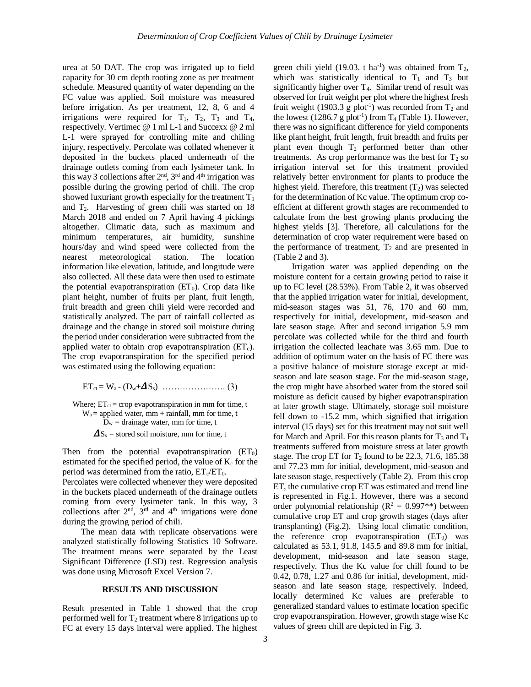urea at 50 DAT. The crop was irrigated up to field capacity for 30 cm depth rooting zone as per treatment schedule. Measured quantity of water depending on the FC value was applied. Soil moisture was measured before irrigation. As per treatment, 12, 8, 6 and 4 irrigations were required for  $T_1$ ,  $T_2$ ,  $T_3$  and  $T_4$ , respectively. Vertimec @ 1 ml L-1 and Succexx @ 2 ml L-1 were sprayed for controlling mite and chiling injury, respectively. Percolate was collated whenever it deposited in the buckets placed underneath of the drainage outlets coming from each lysimeter tank. In this way 3 collections after  $2<sup>nd</sup>$ ,  $3<sup>rd</sup>$  and  $4<sup>th</sup>$  irrigation was possible during the growing period of chili. The crop showed luxuriant growth especially for the treatment  $T_1$ and  $T_2$ . Harvesting of green chili was started on 18 March 2018 and ended on 7 April having 4 pickings altogether. Climatic data, such as maximum and minimum temperatures, air humidity, sunshine hours/day and wind speed were collected from the nearest meteorological station. The location information like elevation, latitude, and longitude were also collected. All these data were then used to estimate the potential evapotranspiration  $(ET_0)$ . Crop data like plant height, number of fruits per plant, fruit length, fruit breadth and green chili yield were recorded and statistically analyzed. The part of rainfall collected as drainage and the change in stored soil moisture during the period under consideration were subtracted from the applied water to obtain crop evapotranspiration  $(ET_c)$ . The crop evapotranspiration for the specified period was estimated using the following equation:

ETct = Wa - (Dw±Ss) …………………. (3)

Where;  $ET_{ct} = crop$  evapotranspiration in mm for time, t  $W_a$  = applied water, mm + rainfall, mm for time, t  $D_w$  = drainage water, mm for time, t  $\Delta S_s$  = stored soil moisture, mm for time, t

Then from the potential evapotranspiration  $(ET_0)$ estimated for the specified period, the value of  $K_c$  for the period was determined from the ratio,  $ET_{c}/ET_{0}$ .

Percolates were collected whenever they were deposited in the buckets placed underneath of the drainage outlets coming from every lysimeter tank. In this way, 3 collections after  $2<sup>nd</sup>$ ,  $3<sup>rd</sup>$  and  $4<sup>th</sup>$  irrigations were done during the growing period of chili.

The mean data with replicate observations were analyzed statistically following Statistics 10 Software. The treatment means were separated by the Least Significant Difference (LSD) test. Regression analysis was done using Microsoft Excel Version 7.

#### **RESULTS AND DISCUSSION**

Result presented in Table 1 showed that the crop performed well for  $T_2$  treatment where 8 irrigations up to FC at every 15 days interval were applied. The highest

green chili yield (19.03. t ha<sup>-1</sup>) was obtained from  $T_2$ , which was statistically identical to  $T_1$  and  $T_3$  but significantly higher over  $T_4$ . Similar trend of result was observed for fruit weight per plot where the highest fresh fruit weight (1903.3 g plot<sup>-1</sup>) was recorded from  $T_2$  and the lowest (1286.7 g plot<sup>-1</sup>) from  $T_4$  (Table 1). However, there was no significant difference for yield components like plant height, fruit length, fruit breadth and fruits per plant even though T<sub>2</sub> performed better than other treatments. As crop performance was the best for  $T_2$  so irrigation interval set for this treatment provided relatively better environment for plants to produce the highest yield. Therefore, this treatment  $(T_2)$  was selected for the determination of Kc value. The optimum crop coefficient at different growth stages are recommended to calculate from the best growing plants producing the highest yields [3]. Therefore, all calculations for the determination of crop water requirement were based on the performance of treatment,  $T_2$  and are presented in (Table 2 and 3).

Irrigation water was applied depending on the moisture content for a certain growing period to raise it up to FC level (28.53%). From Table 2, it was observed that the applied irrigation water for initial, development, mid-season stages was 51, 76, 170 and 60 mm, respectively for initial, development, mid-season and late season stage. After and second irrigation 5.9 mm percolate was collected while for the third and fourth irrigation the collected leachate was 3.65 mm. Due to addition of optimum water on the basis of FC there was a positive balance of moisture storage except at midseason and late season stage. For the mid-season stage, the crop might have absorbed water from the stored soil moisture as deficit caused by higher evapotranspiration at later growth stage. Ultimately, storage soil moisture fell down to -15.2 mm, which signified that irrigation interval (15 days) set for this treatment may not suit well for March and April. For this reason plants for  $T_3$  and  $T_4$ treatments suffered from moisture stress at later growth stage. The crop ET for  $T_2$  found to be 22.3, 71.6, 185.38 and 77.23 mm for initial, development, mid-season and late season stage, respectively (Table 2). From this crop ET, the cumulative crop ET was estimated and trend line is represented in Fig.1. However, there was a second order polynomial relationship ( $R^2 = 0.997**$ ) between cumulative crop ET and crop growth stages (days after transplanting) (Fig.2). Using local climatic condition, the reference crop evapotranspiration  $(ET<sub>0</sub>)$  was calculated as 53.1, 91.8, 145.5 and 89.8 mm for initial, development, mid-season and late season stage, respectively. Thus the Kc value for chill found to be 0.42, 0.78, 1.27 and 0.86 for initial, development, midseason and late season stage, respectively. Indeed, locally determined Kc values are preferable to generalized standard values to estimate location specific crop evapotranspiration. However, growth stage wise Kc values of green chill are depicted in Fig. 3.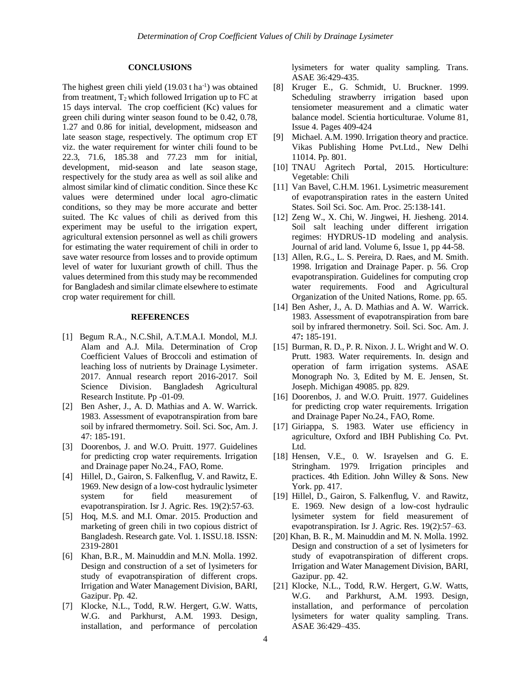## **CONCLUSIONS**

The highest green chili yield  $(19.03 \text{ t} \text{ ha}^{-1})$  was obtained from treatment,  $T_2$  which followed Irrigation up to FC at 15 days interval. The crop coefficient (Kc) values for green chili during winter season found to be 0.42, 0.78, 1.27 and 0.86 for initial, development, midseason and late season stage, respectively. The optimum crop ET viz. the water requirement for winter chili found to be 22.3, 71.6, 185.38 and 77.23 mm for initial, development, mid-season and late season stage, respectively for the study area as well as soil alike and almost similar kind of climatic condition. Since these Kc values were determined under local agro-climatic conditions, so they may be more accurate and better suited. The Kc values of chili as derived from this experiment may be useful to the irrigation expert, agricultural extension personnel as well as chili growers for estimating the water requirement of chili in order to save water resource from losses and to provide optimum level of water for luxuriant growth of chill. Thus the values determined from this study may be recommended for Bangladesh and similar climate elsewhere to estimate crop water requirement for chill.

### **REFERENCES**

- [1] Begum R.A., N.C.Shil, A.T.M.A.I. Mondol, M.J. Alam and A.J. Mila. Determination of Crop Coefficient Values of Broccoli and estimation of leaching loss of nutrients by Drainage Lysimeter. 2017. Annual research report 2016-2017. Soil Science Division. Bangladesh Agricultural Research Institute. Pp -01-09.
- [2] Ben Asher, J., A. D. Mathias and A. W. Warrick. 1983. Assessment of evapotranspiration from bare soil by infrared thermometry. Soil. Sci. Soc, Am. J. 47: 185-191.
- [3] Doorenbos, J. and W.O. Pruitt. 1977. Guidelines for predicting crop water requirements. Irrigation and Drainage paper No.24., FAO, Rome.
- [4] Hillel, D., Gairon, S. Falkenflug, V. and Rawitz, E. 1969. New design of a low-cost hydraulic lysimeter system for field measurement of evapotranspiration. Isr J. Agric. Res. 19(2):57-63.
- [5] Hoq, M.S. and M.I. Omar. 2015. Production and marketing of green chili in two copious district of Bangladesh. Research gate. Vol. 1. ISSU.18. ISSN: 2319-2801
- [6] Khan, B.R., M. Mainuddin and M.N. Molla. 1992. Design and construction of a set of lysimeters for study of evapotranspiration of different crops. Irrigation and Water Management Division, BARI, Gazipur. Pp. 42.
- [7] Klocke, N.L., Todd, R.W. Hergert, G.W. Watts, W.G. and Parkhurst, A.M. 1993. Design, installation, and performance of percolation

lysimeters for water quality sampling. Trans. ASAE 36:429-435.

- [8] Kruger E., G. Schmidt, U. Bruckner. 1999. Scheduling strawberry irrigation based upon tensiometer measurement and a climatic water balance model. Scientia horticulturae. Volume 81, Issue 4. Pages 409-424
- [9] Michael. A.M. 1990. Irrigation theory and practice. Vikas Publishing Home Pvt.Ltd., New Delhi 11014. Pp. 801.
- [10] TNAU Agritech Portal, 2015. Horticulture: Vegetable: Chili
- [11] Van Bavel, C.H.M. 1961. Lysimetric measurement of evapotranspiration rates in the eastern United States. Soil Sci. Soc. Am. Proc. 25:138-141.
- [12] Zeng W., X. Chi, W. Jingwei, H. Jiesheng. 2014. Soil salt leaching under different irrigation regimes: HYDRUS-1D modeling and analysis. Journal of arid land. Volume 6, Issue 1, pp 44-58.
- [13] Allen, R.G., L. S. Pereira, D. Raes, and M. Smith. 1998. Irrigation and Drainage Paper. p. 56*.* Crop evapotranspiration. Guidelines for computing crop water requirements. Food and Agricultural Organization of the United Nations, Rome. pp. 65.
- [14] Ben Asher, J., A. D. Mathias and A. W. Warrick. 1983. Assessment of evapotranspiration from bare soil by infrared thermonetry. Soil. Sci. Soc. Am. J. 47**:** 185-191.
- [15] Burman, R. D., P. R. Nixon. J. L. Wright and W. O. Prutt. 1983. Water requirements. In. design and operation of farm irrigation systems. ASAE Monograph No. 3, Edited by M. E. Jensen, St. Joseph. Michigan 49085. pp. 829.
- [16] Doorenbos, J. and W.O. Pruitt. 1977. Guidelines for predicting crop water requirements. Irrigation and Drainage Paper No.24., FAO, Rome.
- [17] Giriappa, S. 1983. Water use efficiency in agriculture, Oxford and IBH Publishing Co. Pvt. Ltd.
- [18] Hensen, V.E., 0. W. Israyelsen and G. E. Stringham. 1979. Irrigation principles and practices. 4th Edition. John Willey & Sons. New York. pp. 417.
- [19] Hillel, D., Gairon, S. Falkenflug, V. and Rawitz, E. 1969. New design of a low-cost hydraulic lysimeter system for field measurement of evapotranspiration. Isr J. Agric. Res. 19(2):57–63.
- [20] Khan, B. R., M. Mainuddin and M. N. Molla. 1992. Design and construction of a set of lysimeters for study of evapotranspiration of different crops. Irrigation and Water Management Division, BARI, Gazipur. pp. 42.
- [21] Klocke, N.L., Todd, R.W. Hergert, G.W. Watts, W.G. and Parkhurst, A.M. 1993. Design, installation, and performance of percolation lysimeters for water quality sampling. Trans. ASAE 36:429–435.